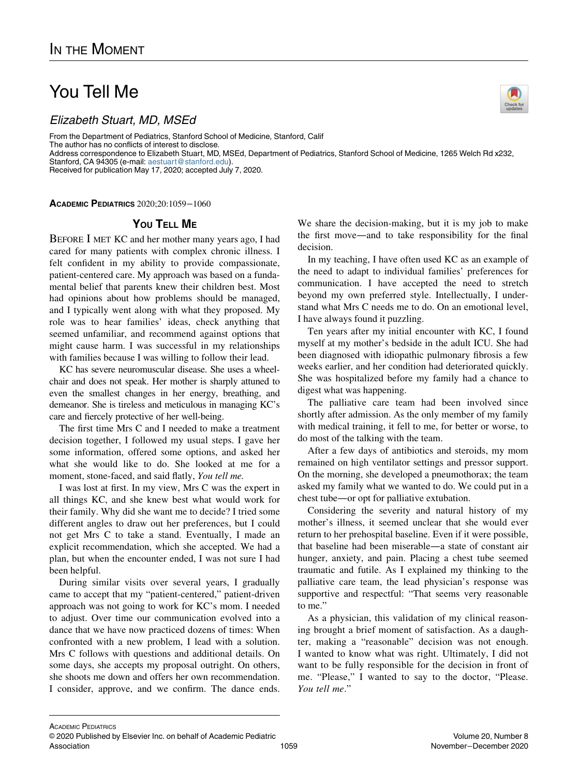## You Tell Me

Elizabeth Stuart, MD, MSEd

From the Department of Pediatrics, Stanford School of Medicine, Stanford, Calif The author has no conflicts of interest to disclose. Address correspondence to Elizabeth Stuart, MD, MSEd, Department of Pediatrics, Stanford School of Medicine, 1265 Welch Rd x232, Stanford, CA 94305 (e-mail: [aestuart@stanford.edu\)](mailto:aestuart@stanford.edu). Received for publication May 17, 2020; accepted July 7, 2020.

ACADEMIC PEDIATRICS 2020;20:1059−1060

## YOU TELL ME

BEFORE I MET KC and her mother many years ago, I had cared for many patients with complex chronic illness. I felt confident in my ability to provide compassionate, patient-centered care. My approach was based on a fundamental belief that parents knew their children best. Most had opinions about how problems should be managed, and I typically went along with what they proposed. My role was to hear families' ideas, check anything that seemed unfamiliar, and recommend against options that might cause harm. I was successful in my relationships with families because I was willing to follow their lead.

KC has severe neuromuscular disease. She uses a wheelchair and does not speak. Her mother is sharply attuned to even the smallest changes in her energy, breathing, and demeanor. She is tireless and meticulous in managing KC's care and fiercely protective of her well-being.

The first time Mrs C and I needed to make a treatment decision together, I followed my usual steps. I gave her some information, offered some options, and asked her what she would like to do. She looked at me for a moment, stone-faced, and said flatly, You tell me.

I was lost at first. In my view, Mrs C was the expert in all things KC, and she knew best what would work for their family. Why did she want me to decide? I tried some different angles to draw out her preferences, but I could not get Mrs C to take a stand. Eventually, I made an explicit recommendation, which she accepted. We had a plan, but when the encounter ended, I was not sure I had been helpful.

During similar visits over several years, I gradually came to accept that my "patient-centered," patient-driven approach was not going to work for KC's mom. I needed to adjust. Over time our communication evolved into a dance that we have now practiced dozens of times: When confronted with a new problem, I lead with a solution. Mrs C follows with questions and additional details. On some days, she accepts my proposal outright. On others, she shoots me down and offers her own recommendation. I consider, approve, and we confirm. The dance ends. We share the decision-making, but it is my job to make the first move—and to take responsibility for the final decision.

In my teaching, I have often used KC as an example of the need to adapt to individual families' preferences for communication. I have accepted the need to stretch beyond my own preferred style. Intellectually, I understand what Mrs C needs me to do. On an emotional level, I have always found it puzzling.

Ten years after my initial encounter with KC, I found myself at my mother's bedside in the adult ICU. She had been diagnosed with idiopathic pulmonary fibrosis a few weeks earlier, and her condition had deteriorated quickly. She was hospitalized before my family had a chance to digest what was happening.

The palliative care team had been involved since shortly after admission. As the only member of my family with medical training, it fell to me, for better or worse, to do most of the talking with the team.

After a few days of antibiotics and steroids, my mom remained on high ventilator settings and pressor support. On the morning, she developed a pneumothorax; the team asked my family what we wanted to do. We could put in a chest tube—or opt for palliative extubation.

Considering the severity and natural history of my mother's illness, it seemed unclear that she would ever return to her prehospital baseline. Even if it were possible, that baseline had been miserable—a state of constant air hunger, anxiety, and pain. Placing a chest tube seemed traumatic and futile. As I explained my thinking to the palliative care team, the lead physician's response was supportive and respectful: "That seems very reasonable to me."

As a physician, this validation of my clinical reasoning brought a brief moment of satisfaction. As a daughter, making a "reasonable" decision was not enough. I wanted to know what was right. Ultimately, I did not want to be fully responsible for the decision in front of me. "Please," I wanted to say to the doctor, "Please. You tell me."